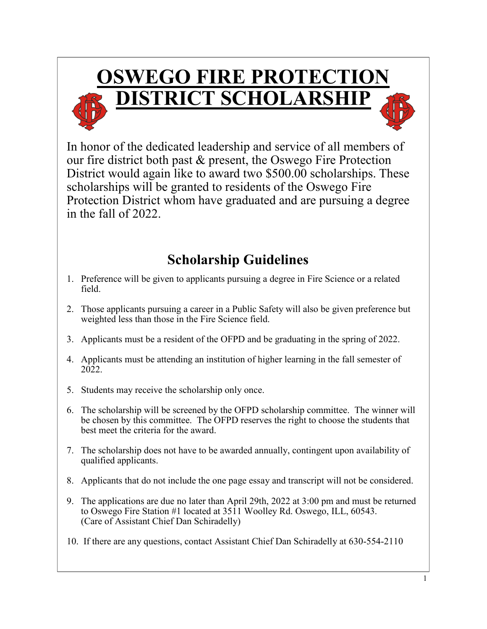

In honor of the dedicated leadership and service of all members of our fire district both past & present, the Oswego Fire Protection District would again like to award two \$500.00 scholarships. These scholarships will be granted to residents of the Oswego Fire Protection District whom have graduated and are pursuing a degree in the fall of 2022.

## **Scholarship Guidelines**

- 1. Preference will be given to applicants pursuing a degree in Fire Science or a related field.
- 2. Those applicants pursuing a career in a Public Safety will also be given preference but weighted less than those in the Fire Science field.
- 3. Applicants must be a resident of the OFPD and be graduating in the spring of 2022.
- 4. Applicants must be attending an institution of higher learning in the fall semester of 2022.
- 5. Students may receive the scholarship only once.
- 6. The scholarship will be screened by the OFPD scholarship committee. The winner will be chosen by this committee. The OFPD reserves the right to choose the students that best meet the criteria for the award.
- 7. The scholarship does not have to be awarded annually, contingent upon availability of qualified applicants.
- 8. Applicants that do not include the one page essay and transcript will not be considered.
- 9. The applications are due no later than April 29th, 2022 at 3:00 pm and must be returned to Oswego Fire Station #1 located at 3511 Woolley Rd. Oswego, ILL, 60543. (Care of Assistant Chief Dan Schiradelly)
- 10. If there are any questions, contact Assistant Chief Dan Schiradelly at 630-554-2110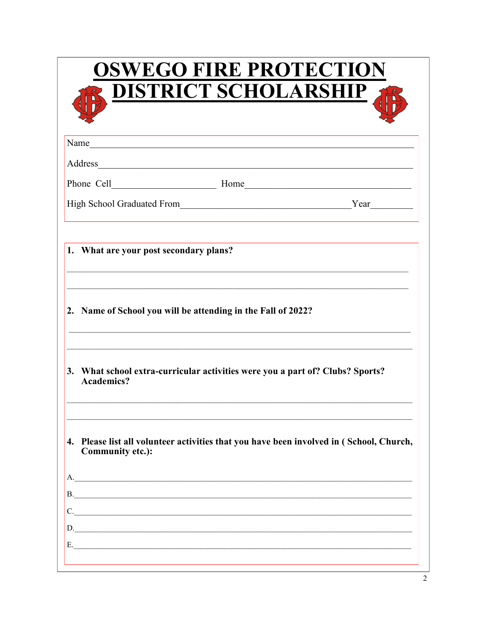| <b>OSWEGO FIRE PROTECTION</b><br><b>DISTRICT SCHOLARSHIP</b>                                                   |  |
|----------------------------------------------------------------------------------------------------------------|--|
| Name                                                                                                           |  |
| Address                                                                                                        |  |
|                                                                                                                |  |
|                                                                                                                |  |
| 1. What are your post secondary plans?                                                                         |  |
| 2. Name of School you will be attending in the Fall of 2022?                                                   |  |
| 3. What school extra-curricular activities were you a part of? Clubs? Sports?<br><b>Academics?</b>             |  |
| Please list all volunteer activities that you have been involved in (School, Church,<br>4.<br>Community etc.): |  |
| A.                                                                                                             |  |
|                                                                                                                |  |
| C.                                                                                                             |  |
| <u>D.</u>                                                                                                      |  |
|                                                                                                                |  |